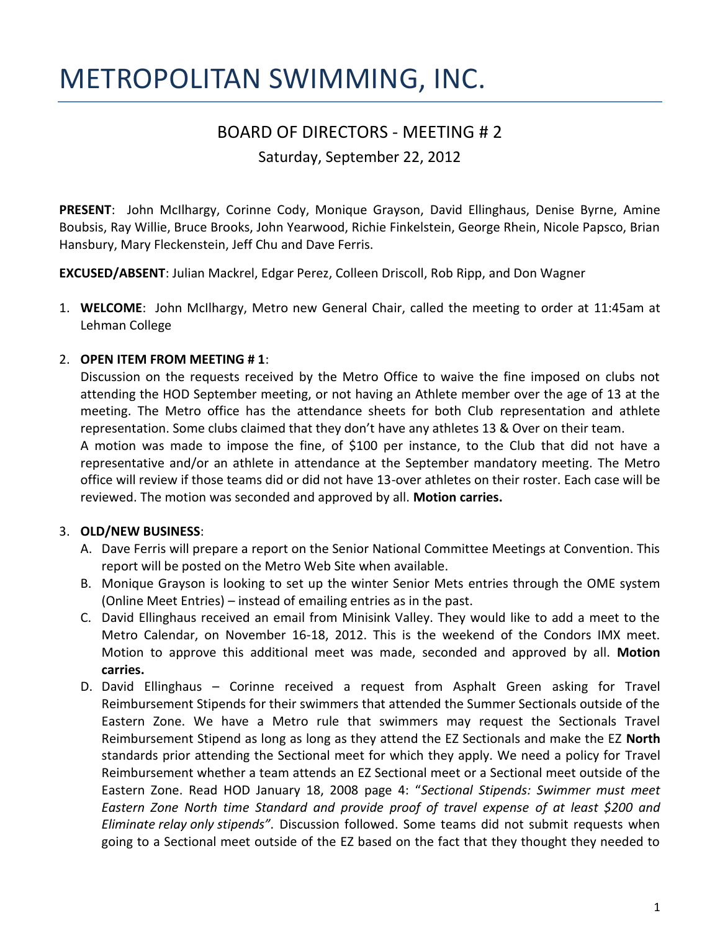# METROPOLITAN SWIMMING, INC.

## BOARD OF DIRECTORS - MEETING # 2

Saturday, September 22, 2012

**PRESENT**: John McIlhargy, Corinne Cody, Monique Grayson, David Ellinghaus, Denise Byrne, Amine Boubsis, Ray Willie, Bruce Brooks, John Yearwood, Richie Finkelstein, George Rhein, Nicole Papsco, Brian Hansbury, Mary Fleckenstein, Jeff Chu and Dave Ferris.

**EXCUSED/ABSENT**: Julian Mackrel, Edgar Perez, Colleen Driscoll, Rob Ripp, and Don Wagner

1. **WELCOME**: John McIlhargy, Metro new General Chair, called the meeting to order at 11:45am at Lehman College

#### 2. **OPEN ITEM FROM MEETING # 1**:

Discussion on the requests received by the Metro Office to waive the fine imposed on clubs not attending the HOD September meeting, or not having an Athlete member over the age of 13 at the meeting. The Metro office has the attendance sheets for both Club representation and athlete representation. Some clubs claimed that they don't have any athletes 13 & Over on their team.

A motion was made to impose the fine, of \$100 per instance, to the Club that did not have a representative and/or an athlete in attendance at the September mandatory meeting. The Metro office will review if those teams did or did not have 13-over athletes on their roster. Each case will be reviewed. The motion was seconded and approved by all. **Motion carries.**

### 3. **OLD/NEW BUSINESS**:

- A. Dave Ferris will prepare a report on the Senior National Committee Meetings at Convention. This report will be posted on the Metro Web Site when available.
- B. Monique Grayson is looking to set up the winter Senior Mets entries through the OME system (Online Meet Entries) – instead of emailing entries as in the past.
- C. David Ellinghaus received an email from Minisink Valley. They would like to add a meet to the Metro Calendar, on November 16-18, 2012. This is the weekend of the Condors IMX meet. Motion to approve this additional meet was made, seconded and approved by all. **Motion carries.**
- D. David Ellinghaus Corinne received a request from Asphalt Green asking for Travel Reimbursement Stipends for their swimmers that attended the Summer Sectionals outside of the Eastern Zone. We have a Metro rule that swimmers may request the Sectionals Travel Reimbursement Stipend as long as long as they attend the EZ Sectionals and make the EZ **North** standards prior attending the Sectional meet for which they apply. We need a policy for Travel Reimbursement whether a team attends an EZ Sectional meet or a Sectional meet outside of the Eastern Zone. Read HOD January 18, 2008 page 4: "*Sectional Stipends: Swimmer must meet Eastern Zone North time Standard and provide proof of travel expense of at least \$200 and Eliminate relay only stipends".* Discussion followed. Some teams did not submit requests when going to a Sectional meet outside of the EZ based on the fact that they thought they needed to